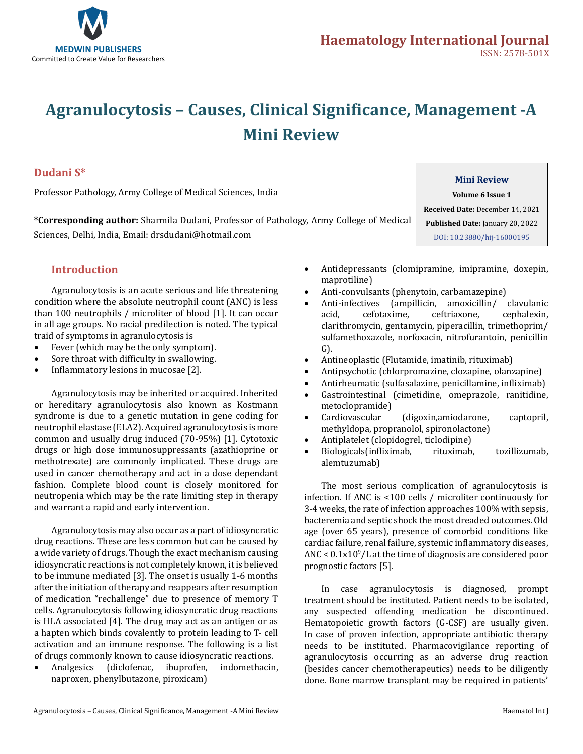

# **Agranulocytosis – Causes, Clinical Significance, Management -A Mini Review**

#### **Dudani S\***

Professor Pathology, Army College of Medical Sciences, India

**\*Corresponding author:** Sharmila Dudani, Professor of Pathology, Army College of Medical Sciences, Delhi, India, Email: drsdudani@hotmail.com

### **Introduction**

Agranulocytosis is an acute serious and life threatening condition where the absolute neutrophil count (ANC) is less than 100 neutrophils / microliter of blood [1]. It can occur in all age groups. No racial predilection is noted. The typical traid of symptoms in agranulocytosis is

- Fever (which may be the only symptom).
- Sore throat with difficulty in swallowing.
- Inflammatory lesions in mucosae [2].

Agranulocytosis may be inherited or acquired. Inherited or hereditary agranulocytosis also known as Kostmann syndrome is due to a genetic mutation in gene coding for neutrophil elastase (ELA2). Acquired agranulocytosis is more common and usually drug induced (70-95%) [1]. Cytotoxic drugs or high dose immunosuppressants (azathioprine or methotrexate) are commonly implicated. These drugs are used in cancer chemotherapy and act in a dose dependant fashion. Complete blood count is closely monitored for neutropenia which may be the rate limiting step in therapy and warrant a rapid and early intervention.

Agranulocytosis may also occur as a part of idiosyncratic drug reactions. These are less common but can be caused by a wide variety of drugs. Though the exact mechanism causing idiosyncratic reactions is not completely known, it is believed to be immune mediated [3]. The onset is usually 1-6 months after the initiation of therapy and reappears after resumption of medication "rechallenge" due to presence of memory T cells. Agranulocytosis following idiosyncratic drug reactions is HLA associated [4]. The drug may act as an antigen or as a hapten which binds covalently to protein leading to T- cell activation and an immune response. The following is a list of drugs commonly known to cause idiosyncratic reactions.<br>• Analgesics (diclofenac, ibuprofen, indomethacin

• Analgesics (diclofenac, ibuprofen, indomethacin, naproxen, phenylbutazone, piroxicam)

- Antidepressants (clomipramine, imipramine, doxepin, maprotiline)
- 
- Anti-convulsants (phenytoin, carbamazepine)<br>Anti-infectives (ampillicin, amoxicillin/ clavulanic Anti-infectives (ampillicin, amoxicillin/ clavulanic acid, cefotaxime, ceftriaxone, cephalexin, ceftriaxone, clarithromycin, gentamycin, piperacillin, trimethoprim/ sulfamethoxazole, norfoxacin, nitrofurantoin, penicillin G).
- • Antineoplastic (Flutamide, imatinib, rituximab)
- Antipsychotic (chlorpromazine, clozapine, olanzapine)
- • Antirheumatic (sulfasalazine, penicillamine, infliximab)
- Gastrointestinal (cimetidine, omeprazole, ranitidine, metoclopramide)<br>Cardiovascular
- • Cardiovascular (digoxin,amiodarone, captopril, methyldopa, propranolol, spironolactone)
- Antiplatelet (clopidogrel, ticlodipine)<br>Biologicals(infliximab, rituximab,
- Biologicals(infliximab, rituximab, tozillizumab, alemtuzumab)

The most serious complication of agranulocytosis is infection. If ANC is <100 cells / microliter continuously for 3-4 weeks, the rate of infection approaches 100% with sepsis, bacteremia and septic shock the most dreaded outcomes. Old age (over 65 years), presence of comorbid conditions like cardiac failure, renal failure, systemic inflammatory diseases,  $\rm{ANC}<\rm{0.1x10^9/L}$  at the time of diagnosis are considered poor prognostic factors [5].

In case agranulocytosis is diagnosed, prompt treatment should be instituted. Patient needs to be isolated, any suspected offending medication be discontinued. Hematopoietic growth factors (G-CSF) are usually given. In case of proven infection, appropriate antibiotic therapy needs to be instituted. Pharmacovigilance reporting of agranulocytosis occurring as an adverse drug reaction (besides cancer chemotherapeutics) needs to be diligently done. Bone marrow transplant may be required in patients'

### **Mini Review**

**Volume 6 Issue 1 Received Date:** December 14, 2021 **Published Date:** January 20, 2022 [DOI: 10.23880/hij-16000195](https://doi.org/10.23880/hij-16000195)